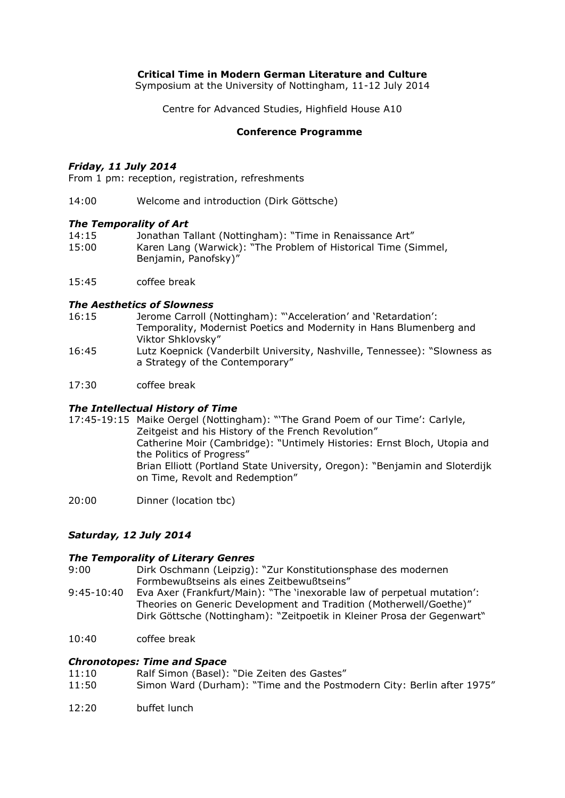# **Critical Time in Modern German Literature and Culture**

Symposium at the University of Nottingham, 11-12 July 2014

Centre for Advanced Studies, Highfield House A10

## **Conference Programme**

### *Friday, 11 July 2014*

From 1 pm: reception, registration, refreshments

14:00 Welcome and introduction (Dirk Göttsche)

## *The Temporality of Art*

| 14:15 | Jonathan Tallant (Nottingham): "Time in Renaissance Art"       |
|-------|----------------------------------------------------------------|
| 15:00 | Karen Lang (Warwick): "The Problem of Historical Time (Simmel, |
|       | Benjamin, Panofsky)"                                           |

15:45 coffee break

### *The Aesthetics of Slowness*

- 16:15 Jerome Carroll (Nottingham): "'Acceleration' and 'Retardation': Temporality, Modernist Poetics and Modernity in Hans Blumenberg and Viktor Shklovsky"
- 16:45 Lutz Koepnick (Vanderbilt University, Nashville, Tennessee): "Slowness as a Strategy of the Contemporary"
- 17:30 coffee break

# *The Intellectual History of Time*

- 17:45-19:15 Maike Oergel (Nottingham): "'The Grand Poem of our Time': Carlyle, Zeitgeist and his History of the French Revolution" Catherine Moir (Cambridge): "Untimely Histories: Ernst Bloch, Utopia and the Politics of Progress" Brian Elliott (Portland State University, Oregon): "Benjamin and Sloterdijk on Time, Revolt and Redemption"
- 20:00 Dinner (location tbc)

# *Saturday, 12 July 2014*

### *The Temporality of Literary Genres*

- 9:00 Dirk Oschmann (Leipzig): "Zur Konstitutionsphase des modernen Formbewußtseins als eines Zeitbewußtseins"
- 9:45-10:40 Eva Axer (Frankfurt/Main): "The 'inexorable law of perpetual mutation': Theories on Generic Development and Tradition (Motherwell/Goethe)" Dirk Göttsche (Nottingham): "Zeitpoetik in Kleiner Prosa der Gegenwart"
- 10:40 coffee break

# *Chronotopes: Time and Space*

- 11:10 Ralf Simon (Basel): "Die Zeiten des Gastes"
- 11:50 Simon Ward (Durham): "Time and the Postmodern City: Berlin after 1975"
- 12:20 buffet lunch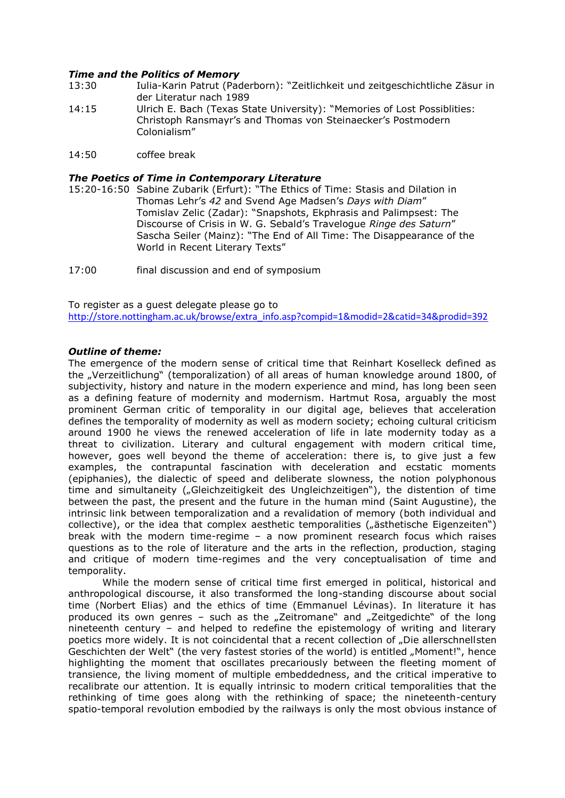## *Time and the Politics of Memory*

- 13:30 Iulia-Karin Patrut (Paderborn): "Zeitlichkeit und zeitgeschichtliche Zäsur in der Literatur nach 1989
- 14:15 Ulrich E. Bach (Texas State University): "Memories of Lost Possiblities: Christoph Ransmayr's and Thomas von Steinaecker's Postmodern Colonialism"
- 14:50 coffee break

### *The Poetics of Time in Contemporary Literature*

- 15:20-16:50 Sabine Zubarik (Erfurt): "The Ethics of Time: Stasis and Dilation in Thomas Lehr's *42* and Svend Age Madsen's *Days with Diam*" Tomislav Zelic (Zadar): "Snapshots, Ekphrasis and Palimpsest: The Discourse of Crisis in W. G. Sebald's Travelogue *Ringe des Saturn*" Sascha Seiler (Mainz): "The End of All Time: The Disappearance of the World in Recent Literary Texts"
- 17:00 final discussion and end of symposium

To register as a guest delegate please go to

[http://store.nottingham.ac.uk/browse/extra\\_info.asp?compid=1&modid=2&catid=34&prodid=392](https://legacy.nottingham.ac.uk/OWA/redir.aspx?C=4Y9imp1_NEeY56NGUbTl-5oV9AN6MtFIj7i6J2-x_CuvMPMqU1iVSy-jy4DcvIb6CTPa_YXBN5E.&URL=http%3a%2f%2fstore.nottingham.ac.uk%2fbrowse%2fextra_info.asp%3fcompid%3d1%26modid%3d2%26catid%3d34%26prodid%3d392)

#### *Outline of theme:*

The emergence of the modern sense of critical time that Reinhart Koselleck defined as the "Verzeitlichung" (temporalization) of all areas of human knowledge around 1800, of subjectivity, history and nature in the modern experience and mind, has long been seen as a defining feature of modernity and modernism. Hartmut Rosa, arguably the most prominent German critic of temporality in our digital age, believes that acceleration defines the temporality of modernity as well as modern society; echoing cultural criticism around 1900 he views the renewed acceleration of life in late modernity today as a threat to civilization. Literary and cultural engagement with modern critical time, however, goes well beyond the theme of acceleration: there is, to give just a few examples, the contrapuntal fascination with deceleration and ecstatic moments (epiphanies), the dialectic of speed and deliberate slowness, the notion polyphonous time and simultaneity ("Gleichzeitigkeit des Ungleichzeitigen"), the distention of time between the past, the present and the future in the human mind (Saint Augustine), the intrinsic link between temporalization and a revalidation of memory (both individual and collective), or the idea that complex aesthetic temporalities ("ästhetische Eigenzeiten") break with the modern time-regime – a now prominent research focus which raises questions as to the role of literature and the arts in the reflection, production, staging and critique of modern time-regimes and the very conceptualisation of time and temporality.

While the modern sense of critical time first emerged in political, historical and anthropological discourse, it also transformed the long-standing discourse about social time (Norbert Elias) and the ethics of time (Emmanuel Lévinas). In literature it has produced its own genres - such as the "Zeitromane" and "Zeitgedichte" of the long nineteenth century – and helped to redefine the epistemology of writing and literary poetics more widely. It is not coincidental that a recent collection of "Die allerschnellsten" Geschichten der Welt" (the very fastest stories of the world) is entitled "Moment!", hence highlighting the moment that oscillates precariously between the fleeting moment of transience, the living moment of multiple embeddedness, and the critical imperative to recalibrate our attention. It is equally intrinsic to modern critical temporalities that the rethinking of time goes along with the rethinking of space; the nineteenth-century spatio-temporal revolution embodied by the railways is only the most obvious instance of